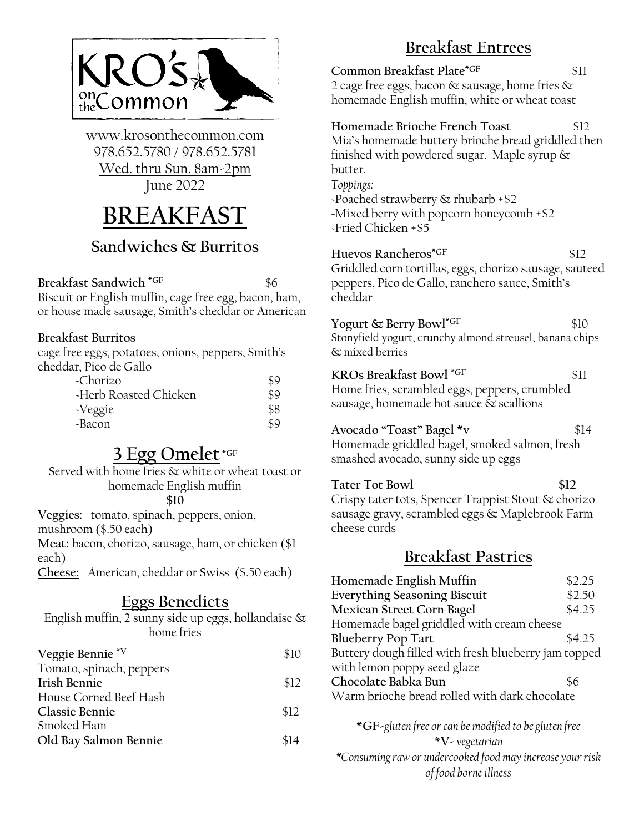

www.krosonthecommon.com 978.652.5780 / 978.652.5781 Wed. thru Sun. 8am-2pm June 2022

# **BREAKFAST**

#### **Sandwiches & Burritos**

**Breakfast Sandwich \*GF** \$6 Biscuit or English muffin, cage free egg, bacon, ham, or house made sausage, Smith's cheddar or American

#### **Breakfast Burritos**

cage free eggs, potatoes, onions, peppers, Smith's cheddar, Pico de Gallo

| $\sim$ Chorizo        |     |
|-----------------------|-----|
| -Herb Roasted Chicken | \$9 |
| -Veggie               | \$8 |
| ~Bacon                |     |

## **3 Egg Omelet \*GF**

Served with home fries & white or wheat toast or homemade English muffin **\$10** 

**Veggies:** tomato, spinach, peppers, onion, mushroom (\$.50 each)

**Meat:** bacon, chorizo, sausage, ham, or chicken (\$1 each)

**Cheese:** American, cheddar or Swiss (\$.50 each)

### **Eggs Benedicts**

English muffin, 2 sunny side up eggs, hollandaise & home fries

| Veggie Bennie*V<br>\$10       |  |
|-------------------------------|--|
| Tomato, spinach, peppers      |  |
| Irish Bennie<br>\$12          |  |
| House Corned Beef Hash        |  |
| Classic Bennie<br>\$12        |  |
| Smoked Ham                    |  |
| Old Bay Salmon Bennie<br>\$14 |  |

## **Breakfast Entrees**

**Common Breakfast Plate<sup>\*GF</sup> \$11** 2 cage free eggs, bacon & sausage, home fries & homemade English muffin, white or wheat toast

**Homemade Brioche French Toast** \$12 Mia's homemade buttery brioche bread griddled then finished with powdered sugar. Maple syrup & butter. *Toppings:* ~Poached strawberry & rhubarb +\$2

~Mixed berry with popcorn honeycomb +\$2 ~Fried Chicken +\$5

**Huevos Rancheros\*GF** \$12 Griddled corn tortillas, eggs, chorizo sausage, sauteed peppers, Pico de Gallo, ranchero sauce, Smith's cheddar

**Yogurt & Berry Bowl<sup>\*GF</sup> \$10** Stonyfield yogurt, crunchy almond streusel, banana chips & mixed berries

**KROs Breakfast Bowl \*GF** \$11 Home fries, scrambled eggs, peppers, crumbled sausage, homemade hot sauce & scallions

**Avocado "Toast" Bagel \*v** \$14 Homemade griddled bagel, smoked salmon, fresh smashed avocado, sunny side up eggs

Tater Tot Bowl \$12 Crispy tater tots, Spencer Trappist Stout & chorizo sausage gravy, scrambled eggs & Maplebrook Farm cheese curds

#### **Breakfast Pastries**

| Homemade English Muffin                                     | \$2.25 |  |
|-------------------------------------------------------------|--------|--|
| <b>Everything Seasoning Biscuit</b>                         | \$2.50 |  |
| Mexican Street Corn Bagel                                   | \$4.25 |  |
| Homemade bagel griddled with cream cheese                   |        |  |
| <b>Blueberry Pop Tart</b>                                   | \$4.25 |  |
| Buttery dough filled with fresh blueberry jam topped        |        |  |
| with lemon poppy seed glaze                                 |        |  |
| Chocolate Babka Bun                                         | \$6    |  |
| Warm brioche bread rolled with dark chocolate               |        |  |
|                                                             |        |  |
| $*C\Gamma$ alutan fuse au san ha madified to be alutan fuse |        |  |

**\*GF-***gluten free or can be modified to be gluten free* **\*V-***vegetarian \*Consumingraw or undercooked food may increase your risk of food borne illness*